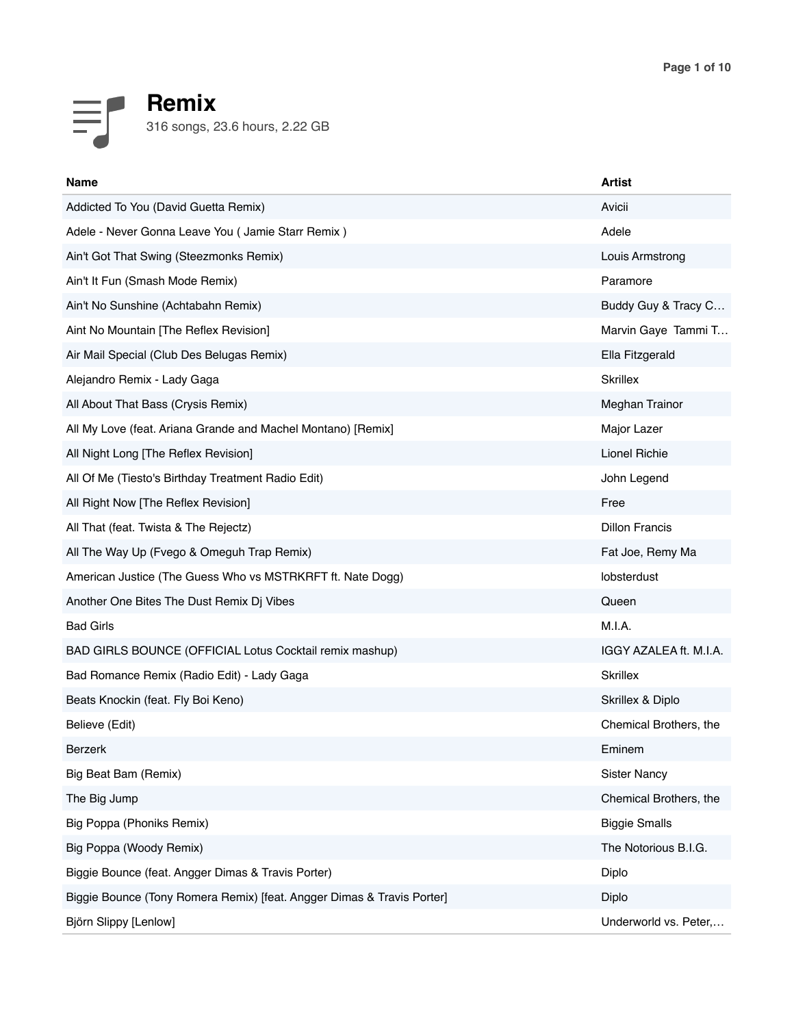

| <b>Name</b>                                                            | Artist                 |
|------------------------------------------------------------------------|------------------------|
| Addicted To You (David Guetta Remix)                                   | Avicii                 |
| Adele - Never Gonna Leave You ( Jamie Starr Remix )                    | Adele                  |
| Ain't Got That Swing (Steezmonks Remix)                                | Louis Armstrong        |
| Ain't It Fun (Smash Mode Remix)                                        | Paramore               |
| Ain't No Sunshine (Achtabahn Remix)                                    | Buddy Guy & Tracy C    |
| Aint No Mountain [The Reflex Revision]                                 | Marvin Gaye Tammi T    |
| Air Mail Special (Club Des Belugas Remix)                              | Ella Fitzgerald        |
| Alejandro Remix - Lady Gaga                                            | <b>Skrillex</b>        |
| All About That Bass (Crysis Remix)                                     | Meghan Trainor         |
| All My Love (feat. Ariana Grande and Machel Montano) [Remix]           | Major Lazer            |
| All Night Long [The Reflex Revision]                                   | <b>Lionel Richie</b>   |
| All Of Me (Tiesto's Birthday Treatment Radio Edit)                     | John Legend            |
| All Right Now [The Reflex Revision]                                    | Free                   |
| All That (feat. Twista & The Rejectz)                                  | <b>Dillon Francis</b>  |
| All The Way Up (Fvego & Omeguh Trap Remix)                             | Fat Joe, Remy Ma       |
| American Justice (The Guess Who vs MSTRKRFT ft. Nate Dogg)             | lobsterdust            |
| Another One Bites The Dust Remix Dj Vibes                              | Queen                  |
| <b>Bad Girls</b>                                                       | M.I.A.                 |
| BAD GIRLS BOUNCE (OFFICIAL Lotus Cocktail remix mashup)                | IGGY AZALEA ft. M.I.A. |
| Bad Romance Remix (Radio Edit) - Lady Gaga                             | <b>Skrillex</b>        |
| Beats Knockin (feat. Fly Boi Keno)                                     | Skrillex & Diplo       |
| Believe (Edit)                                                         | Chemical Brothers, the |
| Berzerk                                                                | Eminem                 |
| Big Beat Bam (Remix)                                                   | <b>Sister Nancy</b>    |
| The Big Jump                                                           | Chemical Brothers, the |
| Big Poppa (Phoniks Remix)                                              | <b>Biggie Smalls</b>   |
| Big Poppa (Woody Remix)                                                | The Notorious B.I.G.   |
| Biggie Bounce (feat. Angger Dimas & Travis Porter)                     | Diplo                  |
| Biggie Bounce (Tony Romera Remix) [feat. Angger Dimas & Travis Porter] | Diplo                  |
| Björn Slippy [Lenlow]                                                  | Underworld vs. Peter,  |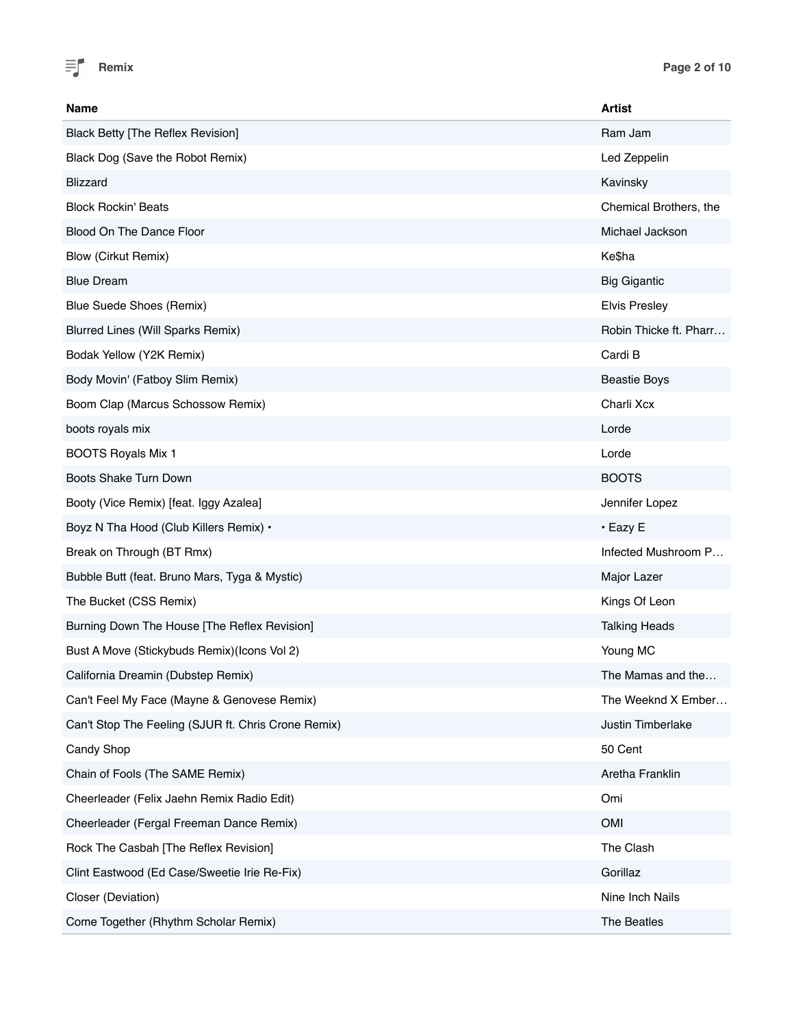

| <b>Name</b>                                         | <b>Artist</b>          |
|-----------------------------------------------------|------------------------|
| <b>Black Betty [The Reflex Revision]</b>            | Ram Jam                |
| Black Dog (Save the Robot Remix)                    | Led Zeppelin           |
| <b>Blizzard</b>                                     | Kavinsky               |
| <b>Block Rockin' Beats</b>                          | Chemical Brothers, the |
| Blood On The Dance Floor                            | Michael Jackson        |
| <b>Blow (Cirkut Remix)</b>                          | Ke\$ha                 |
| <b>Blue Dream</b>                                   | <b>Big Gigantic</b>    |
| Blue Suede Shoes (Remix)                            | <b>Elvis Presley</b>   |
| Blurred Lines (Will Sparks Remix)                   | Robin Thicke ft. Pharr |
| Bodak Yellow (Y2K Remix)                            | Cardi B                |
| Body Movin' (Fatboy Slim Remix)                     | <b>Beastie Boys</b>    |
| Boom Clap (Marcus Schossow Remix)                   | Charli Xcx             |
| boots royals mix                                    | Lorde                  |
| <b>BOOTS Royals Mix 1</b>                           | Lorde                  |
| Boots Shake Turn Down                               | <b>BOOTS</b>           |
| Booty (Vice Remix) [feat. Iggy Azalea]              | Jennifer Lopez         |
| Boyz N Tha Hood (Club Killers Remix) .              | $\cdot$ Eazy E         |
| Break on Through (BT Rmx)                           | Infected Mushroom P    |
| Bubble Butt (feat. Bruno Mars, Tyga & Mystic)       | Major Lazer            |
| The Bucket (CSS Remix)                              | Kings Of Leon          |
| Burning Down The House [The Reflex Revision]        | <b>Talking Heads</b>   |
| Bust A Move (Stickybuds Remix)(Icons Vol 2)         | Young MC               |
| California Dreamin (Dubstep Remix)                  | The Mamas and the      |
| Can't Feel My Face (Mayne & Genovese Remix)         | The Weeknd X Ember     |
| Can't Stop The Feeling (SJUR ft. Chris Crone Remix) | Justin Timberlake      |
| Candy Shop                                          | 50 Cent                |
| Chain of Fools (The SAME Remix)                     | Aretha Franklin        |
| Cheerleader (Felix Jaehn Remix Radio Edit)          | Omi                    |
| Cheerleader (Fergal Freeman Dance Remix)            | <b>OMI</b>             |
| Rock The Casbah [The Reflex Revision]               | The Clash              |
| Clint Eastwood (Ed Case/Sweetie Irie Re-Fix)        | Gorillaz               |
| Closer (Deviation)                                  | Nine Inch Nails        |
| Come Together (Rhythm Scholar Remix)                | The Beatles            |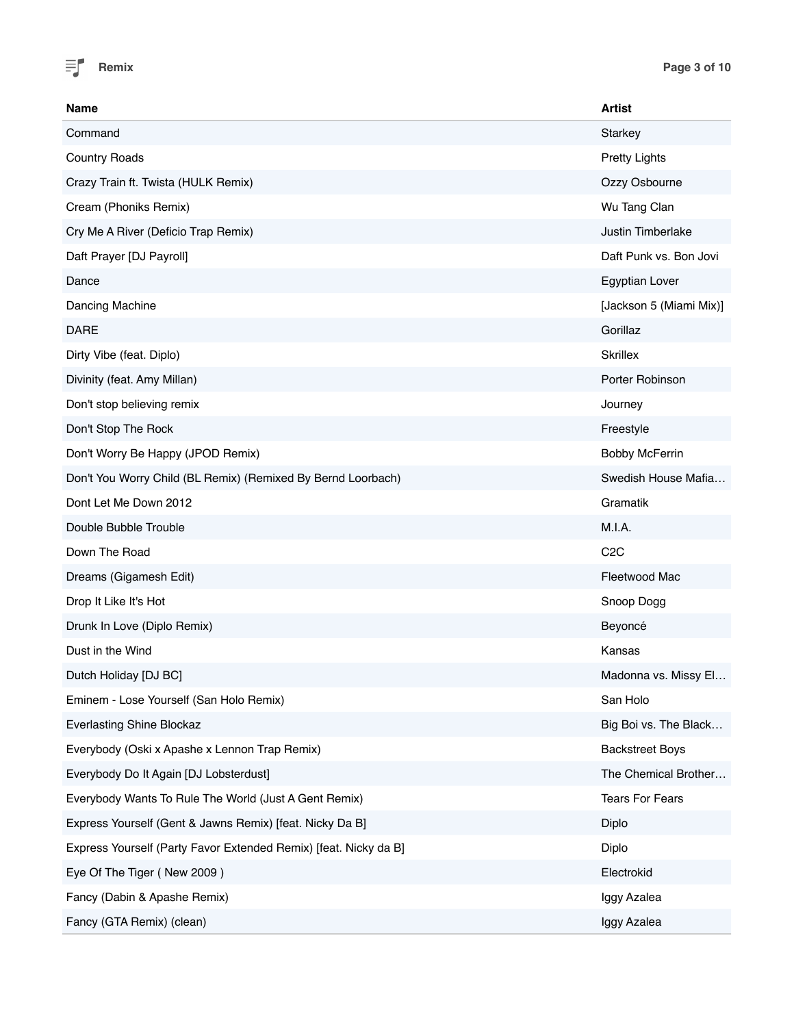

| Name                                                             | <b>Artist</b>           |
|------------------------------------------------------------------|-------------------------|
| Command                                                          | Starkey                 |
| <b>Country Roads</b>                                             | <b>Pretty Lights</b>    |
| Crazy Train ft. Twista (HULK Remix)                              | Ozzy Osbourne           |
| Cream (Phoniks Remix)                                            | Wu Tang Clan            |
| Cry Me A River (Deficio Trap Remix)                              | Justin Timberlake       |
| Daft Prayer [DJ Payroll]                                         | Daft Punk vs. Bon Jovi  |
| Dance                                                            | Egyptian Lover          |
| Dancing Machine                                                  | [Jackson 5 (Miami Mix)] |
| <b>DARE</b>                                                      | Gorillaz                |
| Dirty Vibe (feat. Diplo)                                         | <b>Skrillex</b>         |
| Divinity (feat. Amy Millan)                                      | Porter Robinson         |
| Don't stop believing remix                                       | Journey                 |
| Don't Stop The Rock                                              | Freestyle               |
| Don't Worry Be Happy (JPOD Remix)                                | <b>Bobby McFerrin</b>   |
| Don't You Worry Child (BL Remix) (Remixed By Bernd Loorbach)     | Swedish House Mafia     |
| Dont Let Me Down 2012                                            | Gramatik                |
| Double Bubble Trouble                                            | M.I.A.                  |
| Down The Road                                                    | C <sub>2</sub> C        |
| Dreams (Gigamesh Edit)                                           | Fleetwood Mac           |
| Drop It Like It's Hot                                            | Snoop Dogg              |
| Drunk In Love (Diplo Remix)                                      | Beyoncé                 |
| Dust in the Wind                                                 | Kansas                  |
| Dutch Holiday [DJ BC]                                            | Madonna vs. Missy El    |
| Eminem - Lose Yourself (San Holo Remix)                          | San Holo                |
| <b>Everlasting Shine Blockaz</b>                                 | Big Boi vs. The Black   |
| Everybody (Oski x Apashe x Lennon Trap Remix)                    | <b>Backstreet Boys</b>  |
| Everybody Do It Again [DJ Lobsterdust]                           | The Chemical Brother    |
| Everybody Wants To Rule The World (Just A Gent Remix)            | <b>Tears For Fears</b>  |
| Express Yourself (Gent & Jawns Remix) [feat. Nicky Da B]         | Diplo                   |
| Express Yourself (Party Favor Extended Remix) [feat. Nicky da B] | Diplo                   |
| Eye Of The Tiger (New 2009)                                      | Electrokid              |
| Fancy (Dabin & Apashe Remix)                                     | Iggy Azalea             |
| Fancy (GTA Remix) (clean)                                        | Iggy Azalea             |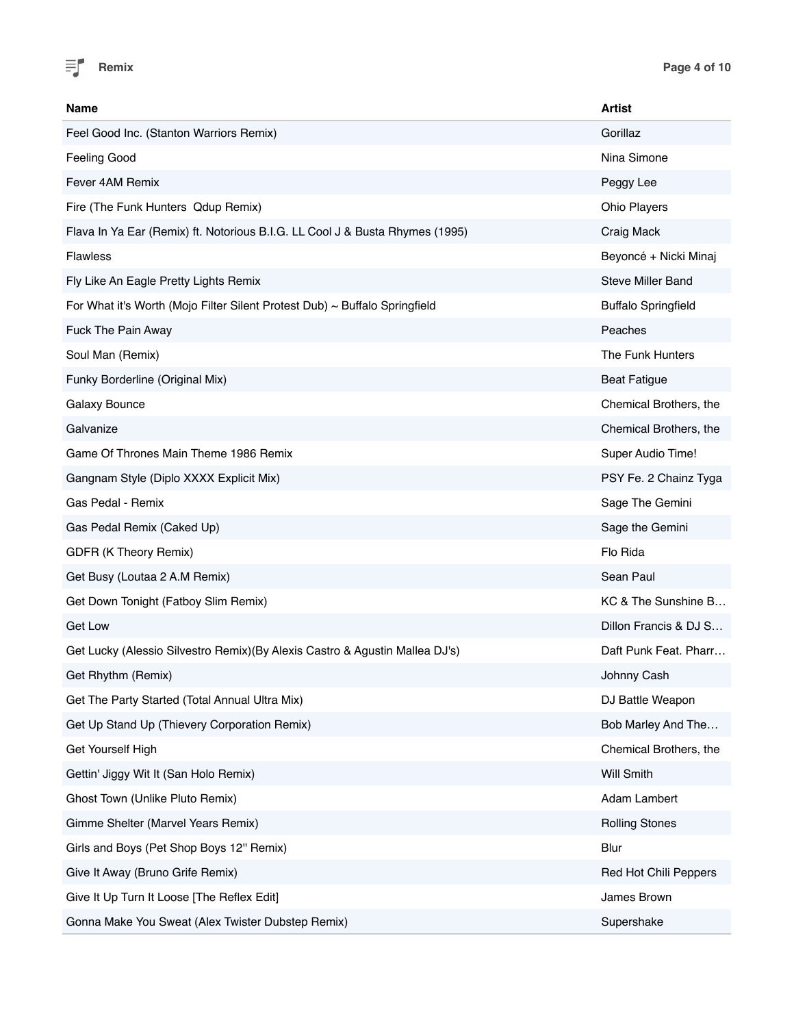

| Name                                                                            | <b>Artist</b>              |
|---------------------------------------------------------------------------------|----------------------------|
| Feel Good Inc. (Stanton Warriors Remix)                                         | Gorillaz                   |
| <b>Feeling Good</b>                                                             | Nina Simone                |
| Fever 4AM Remix                                                                 | Peggy Lee                  |
| Fire (The Funk Hunters Qdup Remix)                                              | <b>Ohio Players</b>        |
| Flava In Ya Ear (Remix) ft. Notorious B.I.G. LL Cool J & Busta Rhymes (1995)    | Craig Mack                 |
| <b>Flawless</b>                                                                 | Beyoncé + Nicki Minaj      |
| Fly Like An Eagle Pretty Lights Remix                                           | <b>Steve Miller Band</b>   |
| For What it's Worth (Mojo Filter Silent Protest Dub) $\sim$ Buffalo Springfield | <b>Buffalo Springfield</b> |
| Fuck The Pain Away                                                              | Peaches                    |
| Soul Man (Remix)                                                                | The Funk Hunters           |
| Funky Borderline (Original Mix)                                                 | <b>Beat Fatigue</b>        |
| Galaxy Bounce                                                                   | Chemical Brothers, the     |
| Galvanize                                                                       | Chemical Brothers, the     |
| Game Of Thrones Main Theme 1986 Remix                                           | Super Audio Time!          |
| Gangnam Style (Diplo XXXX Explicit Mix)                                         | PSY Fe. 2 Chainz Tyga      |
| Gas Pedal - Remix                                                               | Sage The Gemini            |
| Gas Pedal Remix (Caked Up)                                                      | Sage the Gemini            |
| GDFR (K Theory Remix)                                                           | Flo Rida                   |
| Get Busy (Loutaa 2 A.M Remix)                                                   | Sean Paul                  |
| Get Down Tonight (Fatboy Slim Remix)                                            | KC & The Sunshine B        |
| Get Low                                                                         | Dillon Francis & DJ S      |
| Get Lucky (Alessio Silvestro Remix) (By Alexis Castro & Agustin Mallea DJ's)    | Daft Punk Feat. Pharr      |
| Get Rhythm (Remix)                                                              | Johnny Cash                |
| Get The Party Started (Total Annual Ultra Mix)                                  | DJ Battle Weapon           |
| Get Up Stand Up (Thievery Corporation Remix)                                    | Bob Marley And The         |
| Get Yourself High                                                               | Chemical Brothers, the     |
| Gettin' Jiggy Wit It (San Holo Remix)                                           | <b>Will Smith</b>          |
| Ghost Town (Unlike Pluto Remix)                                                 | Adam Lambert               |
| Gimme Shelter (Marvel Years Remix)                                              | <b>Rolling Stones</b>      |
| Girls and Boys (Pet Shop Boys 12" Remix)                                        | Blur                       |
| Give It Away (Bruno Grife Remix)                                                | Red Hot Chili Peppers      |
| Give It Up Turn It Loose [The Reflex Edit]                                      | James Brown                |
| Gonna Make You Sweat (Alex Twister Dubstep Remix)                               | Supershake                 |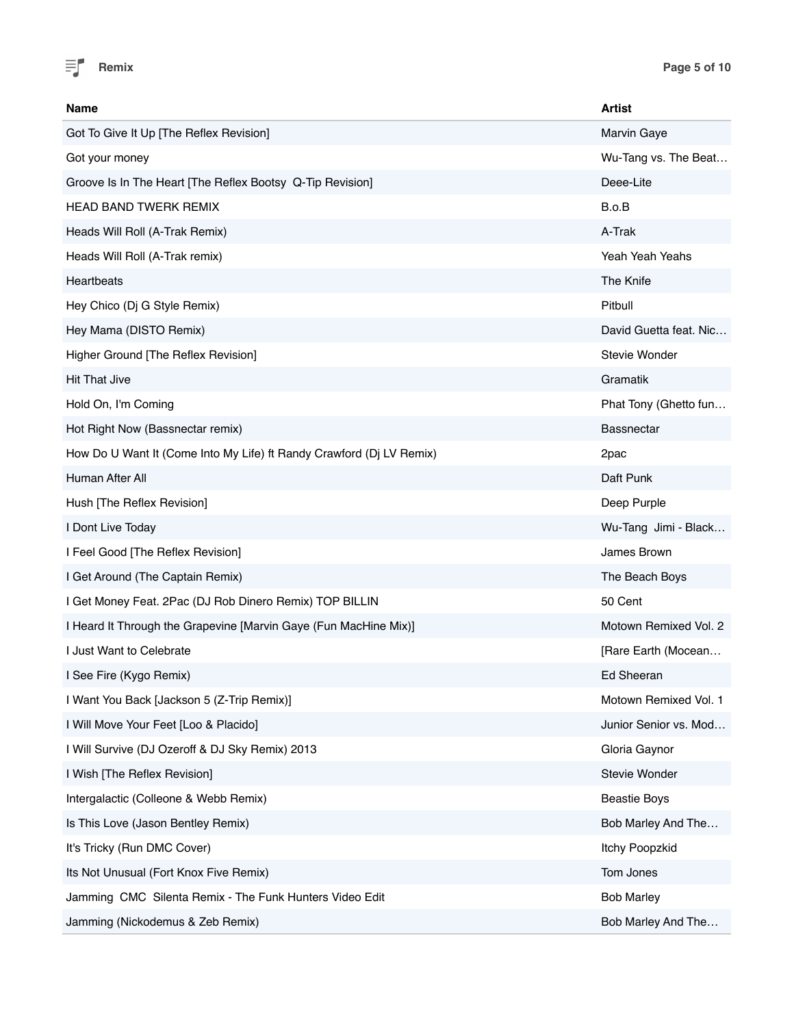

| Name                                                                 | <b>Artist</b>          |
|----------------------------------------------------------------------|------------------------|
| Got To Give It Up [The Reflex Revision]                              | Marvin Gaye            |
| Got your money                                                       | Wu-Tang vs. The Beat   |
| Groove Is In The Heart [The Reflex Bootsy Q-Tip Revision]            | Deee-Lite              |
| <b>HEAD BAND TWERK REMIX</b>                                         | B.o.B                  |
| Heads Will Roll (A-Trak Remix)                                       | A-Trak                 |
| Heads Will Roll (A-Trak remix)                                       | Yeah Yeah Yeahs        |
| Heartbeats                                                           | The Knife              |
| Hey Chico (Dj G Style Remix)                                         | Pitbull                |
| Hey Mama (DISTO Remix)                                               | David Guetta feat. Nic |
| Higher Ground [The Reflex Revision]                                  | <b>Stevie Wonder</b>   |
| <b>Hit That Jive</b>                                                 | Gramatik               |
| Hold On, I'm Coming                                                  | Phat Tony (Ghetto fun  |
| Hot Right Now (Bassnectar remix)                                     | <b>Bassnectar</b>      |
| How Do U Want It (Come Into My Life) ft Randy Crawford (Dj LV Remix) | 2pac                   |
| Human After All                                                      | Daft Punk              |
| Hush [The Reflex Revision]                                           | Deep Purple            |
| I Dont Live Today                                                    | Wu-Tang Jimi - Black   |
| I Feel Good [The Reflex Revision]                                    | James Brown            |
| I Get Around (The Captain Remix)                                     | The Beach Boys         |
| I Get Money Feat. 2Pac (DJ Rob Dinero Remix) TOP BILLIN              | 50 Cent                |
| I Heard It Through the Grapevine [Marvin Gaye (Fun MacHine Mix)]     | Motown Remixed Vol. 2  |
| I Just Want to Celebrate                                             | [Rare Earth (Mocean    |
| I See Fire (Kygo Remix)                                              | Ed Sheeran             |
| I Want You Back [Jackson 5 (Z-Trip Remix)]                           | Motown Remixed Vol. 1  |
| I Will Move Your Feet [Loo & Placido]                                | Junior Senior vs. Mod  |
| I Will Survive (DJ Ozeroff & DJ Sky Remix) 2013                      | Gloria Gaynor          |
| I Wish [The Reflex Revision]                                         | Stevie Wonder          |
| Intergalactic (Colleone & Webb Remix)                                | <b>Beastie Boys</b>    |
| Is This Love (Jason Bentley Remix)                                   | Bob Marley And The     |
| It's Tricky (Run DMC Cover)                                          | Itchy Poopzkid         |
| Its Not Unusual (Fort Knox Five Remix)                               | Tom Jones              |
| Jamming CMC Silenta Remix - The Funk Hunters Video Edit              | <b>Bob Marley</b>      |
| Jamming (Nickodemus & Zeb Remix)                                     | Bob Marley And The     |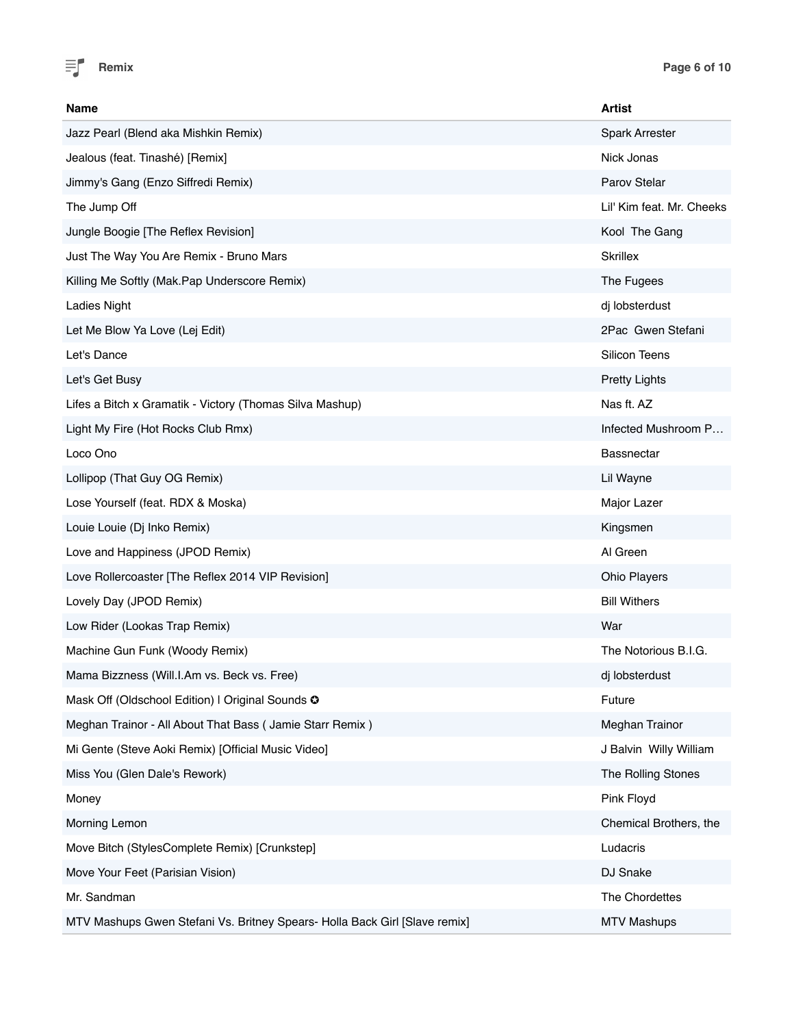

| <b>Name</b>                                                                | <b>Artist</b>             |
|----------------------------------------------------------------------------|---------------------------|
| Jazz Pearl (Blend aka Mishkin Remix)                                       | <b>Spark Arrester</b>     |
| Jealous (feat. Tinashé) [Remix]                                            | Nick Jonas                |
| Jimmy's Gang (Enzo Siffredi Remix)                                         | Parov Stelar              |
| The Jump Off                                                               | Lil' Kim feat. Mr. Cheeks |
| Jungle Boogie [The Reflex Revision]                                        | Kool The Gang             |
| Just The Way You Are Remix - Bruno Mars                                    | <b>Skrillex</b>           |
| Killing Me Softly (Mak.Pap Underscore Remix)                               | The Fugees                |
| <b>Ladies Night</b>                                                        | dj lobsterdust            |
| Let Me Blow Ya Love (Lej Edit)                                             | 2Pac Gwen Stefani         |
| Let's Dance                                                                | <b>Silicon Teens</b>      |
| Let's Get Busy                                                             | <b>Pretty Lights</b>      |
| Lifes a Bitch x Gramatik - Victory (Thomas Silva Mashup)                   | Nas ft. AZ                |
| Light My Fire (Hot Rocks Club Rmx)                                         | Infected Mushroom P       |
| Loco Ono                                                                   | <b>Bassnectar</b>         |
| Lollipop (That Guy OG Remix)                                               | Lil Wayne                 |
| Lose Yourself (feat. RDX & Moska)                                          | Major Lazer               |
| Louie Louie (Dj Inko Remix)                                                | Kingsmen                  |
| Love and Happiness (JPOD Remix)                                            | Al Green                  |
| Love Rollercoaster [The Reflex 2014 VIP Revision]                          | Ohio Players              |
| Lovely Day (JPOD Remix)                                                    | <b>Bill Withers</b>       |
| Low Rider (Lookas Trap Remix)                                              | War                       |
| Machine Gun Funk (Woody Remix)                                             | The Notorious B.I.G.      |
| Mama Bizzness (Will.I.Am vs. Beck vs. Free)                                | di lobsterdust            |
| Mask Off (Oldschool Edition) I Original Sounds O                           | Future                    |
| Meghan Trainor - All About That Bass ( Jamie Starr Remix )                 | Meghan Trainor            |
| Mi Gente (Steve Aoki Remix) [Official Music Video]                         | J Balvin Willy William    |
| Miss You (Glen Dale's Rework)                                              | The Rolling Stones        |
| Money                                                                      | Pink Floyd                |
| Morning Lemon                                                              | Chemical Brothers, the    |
| Move Bitch (StylesComplete Remix) [Crunkstep]                              | Ludacris                  |
| Move Your Feet (Parisian Vision)                                           | DJ Snake                  |
| Mr. Sandman                                                                | The Chordettes            |
| MTV Mashups Gwen Stefani Vs. Britney Spears- Holla Back Girl [Slave remix] | <b>MTV Mashups</b>        |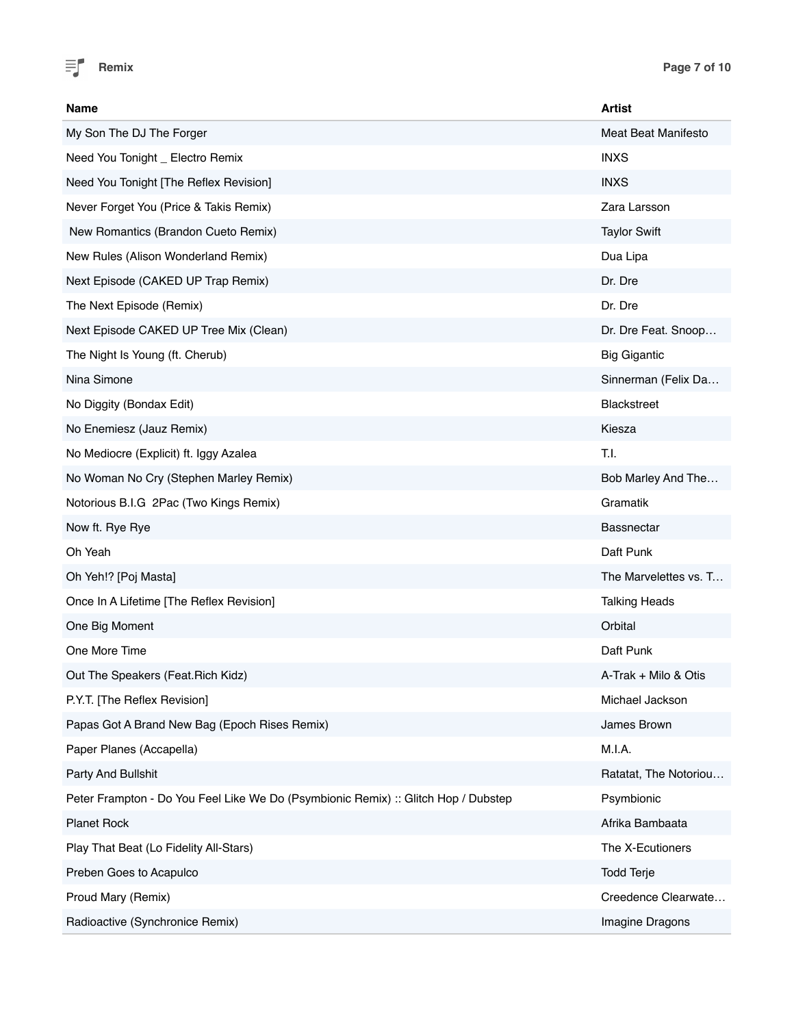

| Name                                                                               | <b>Artist</b>              |
|------------------------------------------------------------------------------------|----------------------------|
| My Son The DJ The Forger                                                           | <b>Meat Beat Manifesto</b> |
| Need You Tonight _ Electro Remix                                                   | <b>INXS</b>                |
| Need You Tonight [The Reflex Revision]                                             | <b>INXS</b>                |
| Never Forget You (Price & Takis Remix)                                             | Zara Larsson               |
| New Romantics (Brandon Cueto Remix)                                                | <b>Taylor Swift</b>        |
| New Rules (Alison Wonderland Remix)                                                | Dua Lipa                   |
| Next Episode (CAKED UP Trap Remix)                                                 | Dr. Dre                    |
| The Next Episode (Remix)                                                           | Dr. Dre                    |
| Next Episode CAKED UP Tree Mix (Clean)                                             | Dr. Dre Feat. Snoop        |
| The Night Is Young (ft. Cherub)                                                    | <b>Big Gigantic</b>        |
| Nina Simone                                                                        | Sinnerman (Felix Da        |
| No Diggity (Bondax Edit)                                                           | <b>Blackstreet</b>         |
| No Enemiesz (Jauz Remix)                                                           | Kiesza                     |
| No Mediocre (Explicit) ft. Iggy Azalea                                             | T.I.                       |
| No Woman No Cry (Stephen Marley Remix)                                             | Bob Marley And The         |
| Notorious B.I.G 2Pac (Two Kings Remix)                                             | Gramatik                   |
| Now ft. Rye Rye                                                                    | <b>Bassnectar</b>          |
| Oh Yeah                                                                            | Daft Punk                  |
| Oh Yeh!? [Poj Masta]                                                               | The Marvelettes vs. T      |
| Once In A Lifetime [The Reflex Revision]                                           | <b>Talking Heads</b>       |
| One Big Moment                                                                     | Orbital                    |
| One More Time                                                                      | Daft Punk                  |
| Out The Speakers (Feat. Rich Kidz)                                                 | A-Trak + Milo & Otis       |
| P.Y.T. [The Reflex Revision]                                                       | Michael Jackson            |
| Papas Got A Brand New Bag (Epoch Rises Remix)                                      | James Brown                |
| Paper Planes (Accapella)                                                           | M.I.A.                     |
| Party And Bullshit                                                                 | Ratatat, The Notoriou      |
| Peter Frampton - Do You Feel Like We Do (Psymbionic Remix) :: Glitch Hop / Dubstep | Psymbionic                 |
| <b>Planet Rock</b>                                                                 | Afrika Bambaata            |
| Play That Beat (Lo Fidelity All-Stars)                                             | The X-Ecutioners           |
| Preben Goes to Acapulco                                                            | <b>Todd Terje</b>          |
| Proud Mary (Remix)                                                                 | Creedence Clearwate        |
| Radioactive (Synchronice Remix)                                                    | Imagine Dragons            |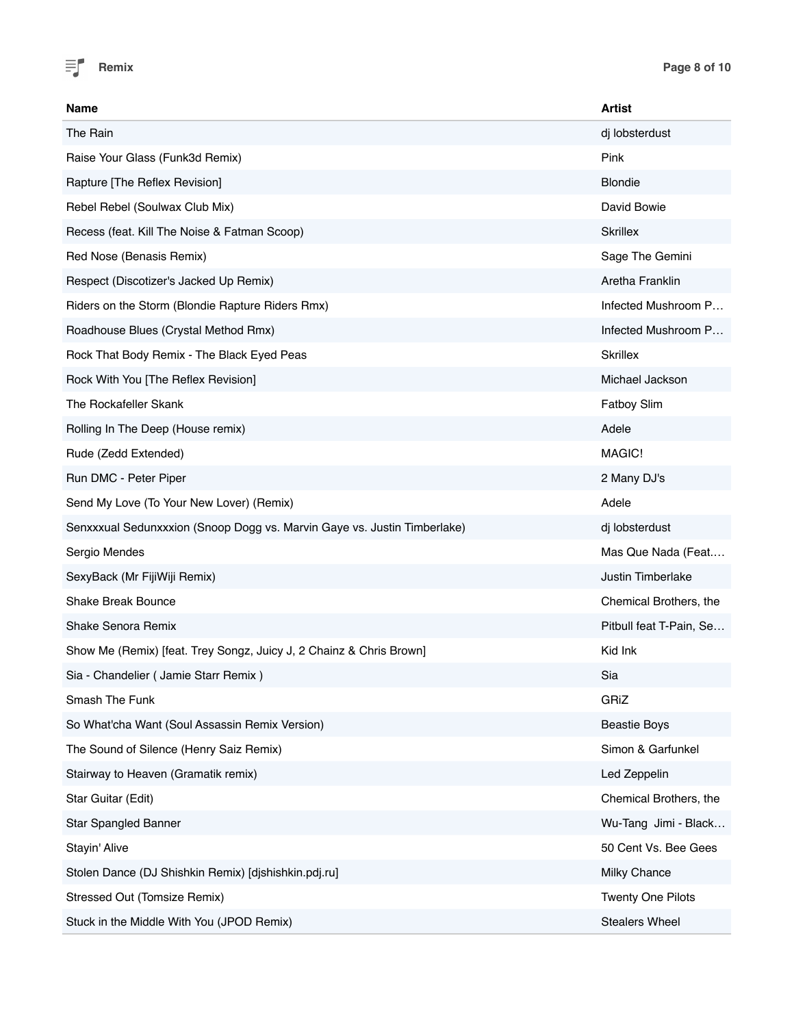

| Name                                                                     | <b>Artist</b>            |
|--------------------------------------------------------------------------|--------------------------|
| The Rain                                                                 | dj lobsterdust           |
| Raise Your Glass (Funk3d Remix)                                          | Pink                     |
| Rapture [The Reflex Revision]                                            | <b>Blondie</b>           |
| Rebel Rebel (Soulwax Club Mix)                                           | David Bowie              |
| Recess (feat. Kill The Noise & Fatman Scoop)                             | <b>Skrillex</b>          |
| Red Nose (Benasis Remix)                                                 | Sage The Gemini          |
| Respect (Discotizer's Jacked Up Remix)                                   | Aretha Franklin          |
| Riders on the Storm (Blondie Rapture Riders Rmx)                         | Infected Mushroom P      |
| Roadhouse Blues (Crystal Method Rmx)                                     | Infected Mushroom P      |
| Rock That Body Remix - The Black Eyed Peas                               | <b>Skrillex</b>          |
| Rock With You [The Reflex Revision]                                      | Michael Jackson          |
| The Rockafeller Skank                                                    | <b>Fatboy Slim</b>       |
| Rolling In The Deep (House remix)                                        | Adele                    |
| Rude (Zedd Extended)                                                     | MAGIC!                   |
| Run DMC - Peter Piper                                                    | 2 Many DJ's              |
| Send My Love (To Your New Lover) (Remix)                                 | Adele                    |
| Senxxxual Sedunxxxion (Snoop Dogg vs. Marvin Gaye vs. Justin Timberlake) | dj lobsterdust           |
| Sergio Mendes                                                            | Mas Que Nada (Feat       |
| SexyBack (Mr FijiWiji Remix)                                             | Justin Timberlake        |
| Shake Break Bounce                                                       | Chemical Brothers, the   |
| Shake Senora Remix                                                       | Pitbull feat T-Pain, Se  |
| Show Me (Remix) [feat. Trey Songz, Juicy J, 2 Chainz & Chris Brown]      | Kid Ink                  |
| Sia - Chandelier ( Jamie Starr Remix )                                   | Sia                      |
| Smash The Funk                                                           | GRiZ                     |
| So What'cha Want (Soul Assassin Remix Version)                           | <b>Beastie Boys</b>      |
| The Sound of Silence (Henry Saiz Remix)                                  | Simon & Garfunkel        |
| Stairway to Heaven (Gramatik remix)                                      | Led Zeppelin             |
| Star Guitar (Edit)                                                       | Chemical Brothers, the   |
| Star Spangled Banner                                                     | Wu-Tang Jimi - Black     |
| Stayin' Alive                                                            | 50 Cent Vs. Bee Gees     |
| Stolen Dance (DJ Shishkin Remix) [djshishkin.pdj.ru]                     | Milky Chance             |
| Stressed Out (Tomsize Remix)                                             | <b>Twenty One Pilots</b> |
| Stuck in the Middle With You (JPOD Remix)                                | <b>Stealers Wheel</b>    |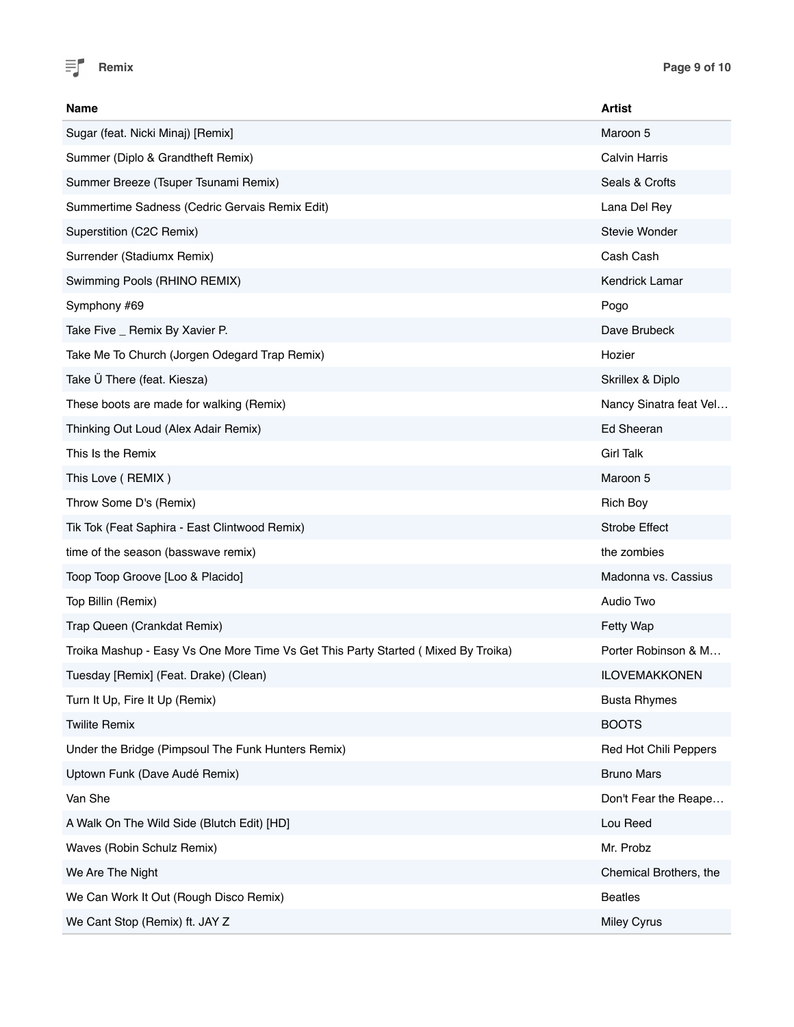

| Name                                                                               | <b>Artist</b>          |
|------------------------------------------------------------------------------------|------------------------|
| Sugar (feat. Nicki Minaj) [Remix]                                                  | Maroon 5               |
| Summer (Diplo & Grandtheft Remix)                                                  | <b>Calvin Harris</b>   |
| Summer Breeze (Tsuper Tsunami Remix)                                               | Seals & Crofts         |
| Summertime Sadness (Cedric Gervais Remix Edit)                                     | Lana Del Rey           |
| Superstition (C2C Remix)                                                           | Stevie Wonder          |
| Surrender (Stadiumx Remix)                                                         | Cash Cash              |
| Swimming Pools (RHINO REMIX)                                                       | Kendrick Lamar         |
| Symphony #69                                                                       | Pogo                   |
| Take Five _ Remix By Xavier P.                                                     | Dave Brubeck           |
| Take Me To Church (Jorgen Odegard Trap Remix)                                      | Hozier                 |
| Take Ü There (feat. Kiesza)                                                        | Skrillex & Diplo       |
| These boots are made for walking (Remix)                                           | Nancy Sinatra feat Vel |
| Thinking Out Loud (Alex Adair Remix)                                               | Ed Sheeran             |
| This Is the Remix                                                                  | <b>Girl Talk</b>       |
| This Love (REMIX)                                                                  | Maroon 5               |
| Throw Some D's (Remix)                                                             | <b>Rich Boy</b>        |
| Tik Tok (Feat Saphira - East Clintwood Remix)                                      | <b>Strobe Effect</b>   |
| time of the season (basswave remix)                                                | the zombies            |
| Toop Toop Groove [Loo & Placido]                                                   | Madonna vs. Cassius    |
| Top Billin (Remix)                                                                 | Audio Two              |
| Trap Queen (Crankdat Remix)                                                        | Fetty Wap              |
| Troika Mashup - Easy Vs One More Time Vs Get This Party Started ( Mixed By Troika) | Porter Robinson & M    |
| Tuesday [Remix] (Feat. Drake) (Clean)                                              | <b>ILOVEMAKKONEN</b>   |
| Turn It Up, Fire It Up (Remix)                                                     | <b>Busta Rhymes</b>    |
| <b>Twilite Remix</b>                                                               | <b>BOOTS</b>           |
| Under the Bridge (Pimpsoul The Funk Hunters Remix)                                 | Red Hot Chili Peppers  |
| Uptown Funk (Dave Audé Remix)                                                      | <b>Bruno Mars</b>      |
| Van She                                                                            | Don't Fear the Reape   |
| A Walk On The Wild Side (Blutch Edit) [HD]                                         | Lou Reed               |
| Waves (Robin Schulz Remix)                                                         | Mr. Probz              |
| We Are The Night                                                                   | Chemical Brothers, the |
| We Can Work It Out (Rough Disco Remix)                                             | <b>Beatles</b>         |
| We Cant Stop (Remix) ft. JAY Z                                                     | <b>Miley Cyrus</b>     |